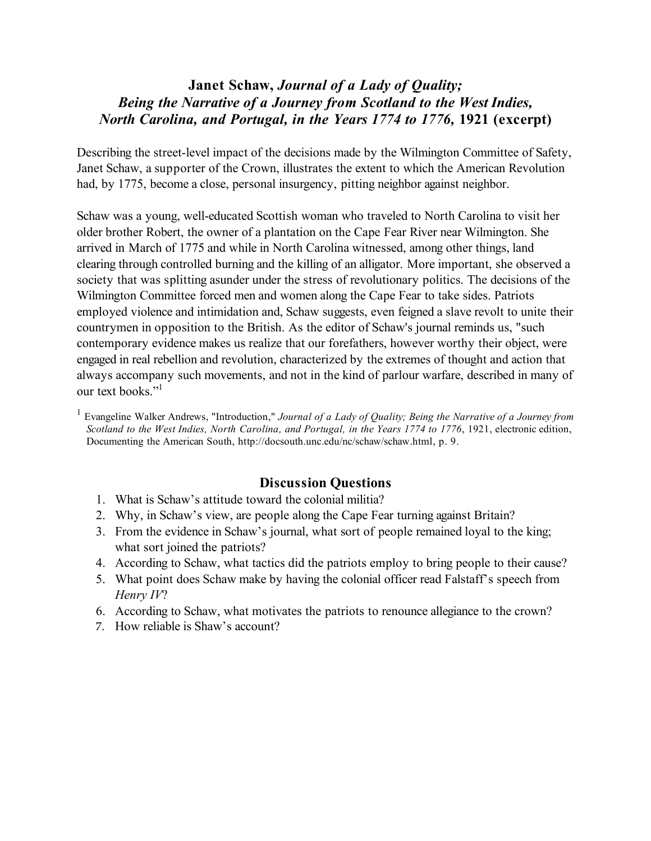## **Janet Schaw,** *Journal of a Lady of Quality; Being the Narrative of a Journey from Scotland to the West Indies, North Carolina, and Portugal, in the Years 1774 to 1776,* **1921 (excerpt)**

Describing the street-level impact of the decisions made by the Wilmington Committee of Safety, Janet Schaw, a supporter of the Crown, illustrates the extent to which the American Revolution had, by 1775, become a close, personal insurgency, pitting neighbor against neighbor.

Schaw was a young, well-educated Scottish woman who traveled to North Carolina to visit her older brother Robert, the owner of a plantation on the Cape Fear River near Wilmington. She arrived in March of 1775 and while in North Carolina witnessed, among other things, land clearing through controlled burning and the killing of an alligator. More important, she observed a society that was splitting asunder under the stress of revolutionary politics. The decisions of the Wilmington Committee forced men and women along the Cape Fear to take sides. Patriots employed violence and intimidation and, Schaw suggests, even feigned a slave revolt to unite their countrymen in opposition to the British. As the editor of Schaw's journal reminds us, "such contemporary evidence makes us realize that our forefathers, however worthy their object, were engaged in real rebellion and revolution, characterized by the extremes of thought and action that always accompany such movements, and not in the kind of parlour warfare, described in many of our text books."<sup>1</sup>

## **Discussion Questions**

- 1. What is Schaw's attitude toward the colonial militia?
- 2. Why, in Schaw's view, are people along the Cape Fear turning against Britain?
- 3. From the evidence in Schaw's journal, what sort of people remained loyal to the king; what sort joined the patriots?
- 4. According to Schaw, what tactics did the patriots employ to bring people to their cause?
- 5. What point does Schaw make by having the colonial officer read Falstaff's speech from *Henry IV*?
- 6. According to Schaw, what motivates the patriots to renounce allegiance to the crown?
- 7. How reliable is Shaw's account?

<sup>1</sup> Evangeline Walker Andrews, "Introduction," *Journal of a Lady of Quality; Being the Narrative of a Journey from Scotland to the West Indies, North Carolina, and Portugal, in the Years 1774 to 1776*, 1921, electronic edition, Documenting the American South, http://docsouth.unc.edu/nc/schaw/schaw.html, p. 9.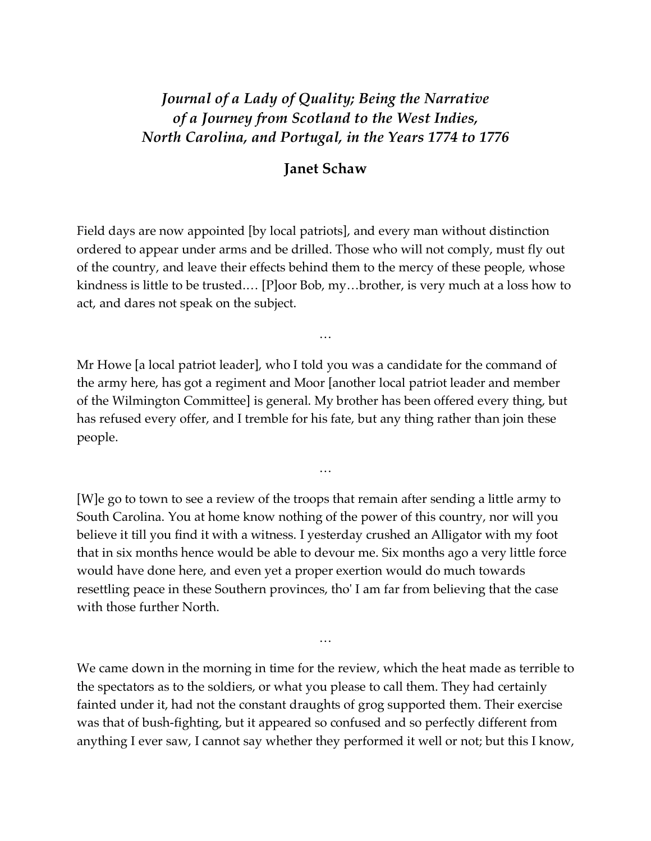## *Journal of a Lady of Quality; Being the Narrative of a Journey from Scotland to the West Indies, North Carolina, and Portugal, in the Years 1774 to 1776*

## **Janet Schaw**

Field days are now appointed [by local patriots], and every man without distinction ordered to appear under arms and be drilled. Those who will not comply, must fly out of the country, and leave their effects behind them to the mercy of these people, whose kindness is little to be trusted.… [P]oor Bob, my…brother, is very much at a loss how to act, and dares not speak on the subject.

…

Mr Howe [a local patriot leader], who I told you was a candidate for the command of the army here, has got a regiment and Moor [another local patriot leader and member of the Wilmington Committee] is general. My brother has been offered every thing, but has refused every offer, and I tremble for his fate, but any thing rather than join these people.

…

[W]e go to town to see a review of the troops that remain after sending a little army to South Carolina. You at home know nothing of the power of this country, nor will you believe it till you find it with a witness. I yesterday crushed an Alligator with my foot that in six months hence would be able to devour me. Six months ago a very little force would have done here, and even yet a proper exertion would do much towards resettling peace in these Southern provinces, tho' I am far from believing that the case with those further North.

We came down in the morning in time for the review, which the heat made as terrible to the spectators as to the soldiers, or what you please to call them. They had certainly fainted under it, had not the constant draughts of grog supported them. Their exercise was that of bush-fighting, but it appeared so confused and so perfectly different from anything I ever saw, I cannot say whether they performed it well or not; but this I know,

…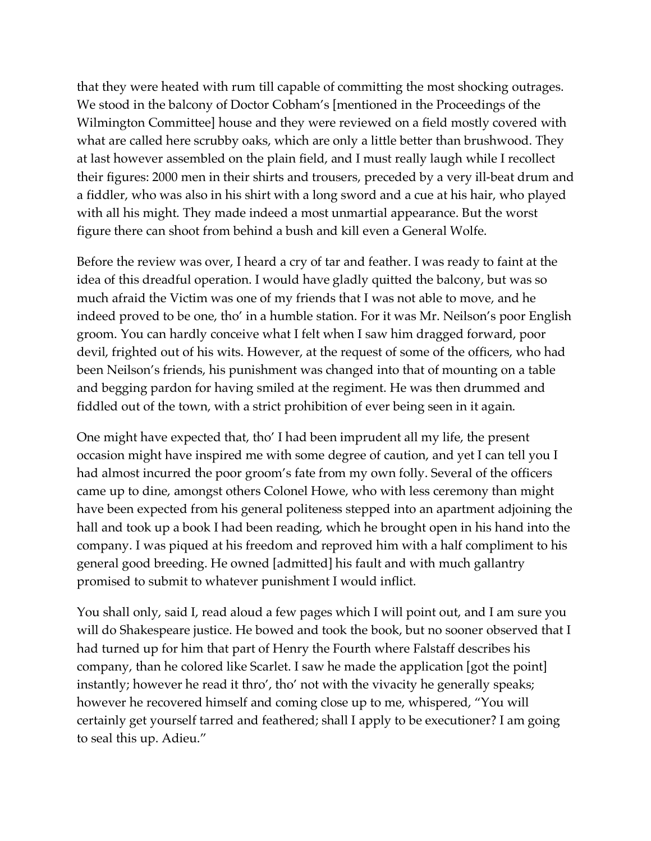that they were heated with rum till capable of committing the most shocking outrages. We stood in the balcony of Doctor Cobham's [mentioned in the Proceedings of the Wilmington Committee] house and they were reviewed on a field mostly covered with what are called here scrubby oaks, which are only a little better than brushwood. They at last however assembled on the plain field, and I must really laugh while I recollect their figures: 2000 men in their shirts and trousers, preceded by a very ill-beat drum and a fiddler, who was also in his shirt with a long sword and a cue at his hair, who played with all his might. They made indeed a most unmartial appearance. But the worst figure there can shoot from behind a bush and kill even a General Wolfe.

Before the review was over, I heard a cry of tar and feather. I was ready to faint at the idea of this dreadful operation. I would have gladly quitted the balcony, but was so much afraid the Victim was one of my friends that I was not able to move, and he indeed proved to be one, tho' in a humble station. For it was Mr. Neilson's poor English groom. You can hardly conceive what I felt when I saw him dragged forward, poor devil, frighted out of his wits. However, at the request of some of the officers, who had been Neilson's friends, his punishment was changed into that of mounting on a table and begging pardon for having smiled at the regiment. He was then drummed and fiddled out of the town, with a strict prohibition of ever being seen in it again.

One might have expected that, tho' I had been imprudent all my life, the present occasion might have inspired me with some degree of caution, and yet I can tell you I had almost incurred the poor groom's fate from my own folly. Several of the officers came up to dine, amongst others Colonel Howe, who with less ceremony than might have been expected from his general politeness stepped into an apartment adjoining the hall and took up a book I had been reading, which he brought open in his hand into the company. I was piqued at his freedom and reproved him with a half compliment to his general good breeding. He owned [admitted] his fault and with much gallantry promised to submit to whatever punishment I would inflict.

You shall only, said I, read aloud a few pages which I will point out, and I am sure you will do Shakespeare justice. He bowed and took the book, but no sooner observed that I had turned up for him that part of Henry the Fourth where Falstaff describes his company, than he colored like Scarlet. I saw he made the application [got the point] instantly; however he read it thro', tho' not with the vivacity he generally speaks; however he recovered himself and coming close up to me, whispered, "You will certainly get yourself tarred and feathered; shall I apply to be executioner? I am going to seal this up. Adieu."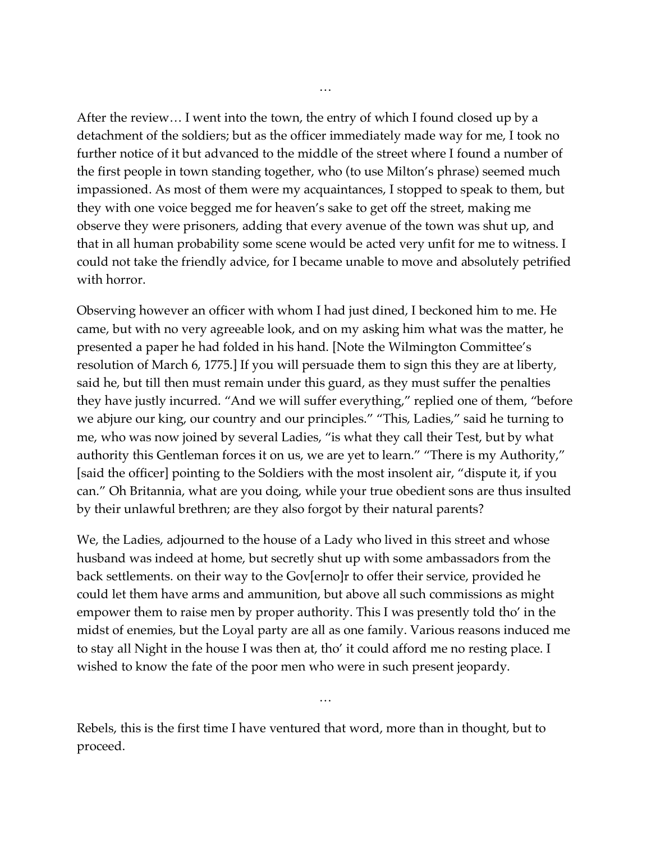After the review… I went into the town, the entry of which I found closed up by a detachment of the soldiers; but as the officer immediately made way for me, I took no further notice of it but advanced to the middle of the street where I found a number of the first people in town standing together, who (to use Milton's phrase) seemed much impassioned. As most of them were my acquaintances, I stopped to speak to them, but they with one voice begged me for heaven's sake to get off the street, making me observe they were prisoners, adding that every avenue of the town was shut up, and that in all human probability some scene would be acted very unfit for me to witness. I could not take the friendly advice, for I became unable to move and absolutely petrified with horror.

Observing however an officer with whom I had just dined, I beckoned him to me. He came, but with no very agreeable look, and on my asking him what was the matter, he presented a paper he had folded in his hand. [Note the Wilmington Committee's resolution of March 6, 1775.] If you will persuade them to sign this they are at liberty, said he, but till then must remain under this guard, as they must suffer the penalties they have justly incurred. "And we will suffer everything," replied one of them, "before we abjure our king, our country and our principles." "This, Ladies," said he turning to me, who was now joined by several Ladies, "is what they call their Test, but by what authority this Gentleman forces it on us, we are yet to learn." "There is my Authority," [said the officer] pointing to the Soldiers with the most insolent air, "dispute it, if you can." Oh Britannia, what are you doing, while your true obedient sons are thus insulted by their unlawful brethren; are they also forgot by their natural parents?

We, the Ladies, adjourned to the house of a Lady who lived in this street and whose husband was indeed at home, but secretly shut up with some ambassadors from the back settlements. on their way to the Gov[erno]r to offer their service, provided he could let them have arms and ammunition, but above all such commissions as might empower them to raise men by proper authority. This I was presently told tho' in the midst of enemies, but the Loyal party are all as one family. Various reasons induced me to stay all Night in the house I was then at, tho' it could afford me no resting place. I wished to know the fate of the poor men who were in such present jeopardy.

…

Rebels, this is the first time I have ventured that word, more than in thought, but to proceed.

…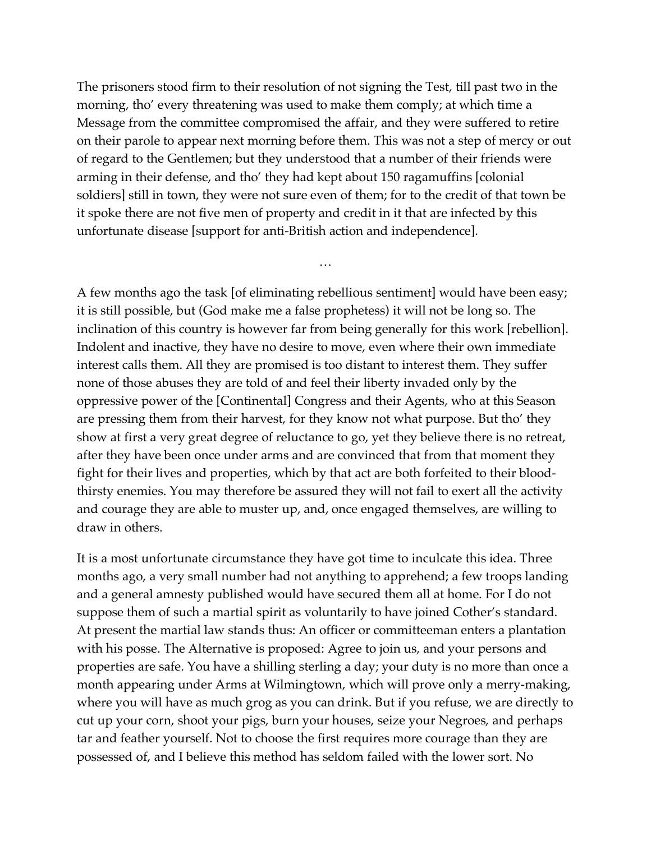The prisoners stood firm to their resolution of not signing the Test, till past two in the morning, tho' every threatening was used to make them comply; at which time a Message from the committee compromised the affair, and they were suffered to retire on their parole to appear next morning before them. This was not a step of mercy or out of regard to the Gentlemen; but they understood that a number of their friends were arming in their defense, and tho' they had kept about 150 ragamuffins [colonial soldiers] still in town, they were not sure even of them; for to the credit of that town be it spoke there are not five men of property and credit in it that are infected by this unfortunate disease [support for anti-British action and independence].

…

A few months ago the task [of eliminating rebellious sentiment] would have been easy; it is still possible, but (God make me a false prophetess) it will not be long so. The inclination of this country is however far from being generally for this work [rebellion]. Indolent and inactive, they have no desire to move, even where their own immediate interest calls them. All they are promised is too distant to interest them. They suffer none of those abuses they are told of and feel their liberty invaded only by the oppressive power of the [Continental] Congress and their Agents, who at this Season are pressing them from their harvest, for they know not what purpose. But tho' they show at first a very great degree of reluctance to go, yet they believe there is no retreat, after they have been once under arms and are convinced that from that moment they fight for their lives and properties, which by that act are both forfeited to their bloodthirsty enemies. You may therefore be assured they will not fail to exert all the activity and courage they are able to muster up, and, once engaged themselves, are willing to draw in others.

It is a most unfortunate circumstance they have got time to inculcate this idea. Three months ago, a very small number had not anything to apprehend; a few troops landing and a general amnesty published would have secured them all at home. For I do not suppose them of such a martial spirit as voluntarily to have joined Cother's standard. At present the martial law stands thus: An officer or committeeman enters a plantation with his posse. The Alternative is proposed: Agree to join us, and your persons and properties are safe. You have a shilling sterling a day; your duty is no more than once a month appearing under Arms at Wilmingtown, which will prove only a merry-making, where you will have as much grog as you can drink. But if you refuse, we are directly to cut up your corn, shoot your pigs, burn your houses, seize your Negroes, and perhaps tar and feather yourself. Not to choose the first requires more courage than they are possessed of, and I believe this method has seldom failed with the lower sort. No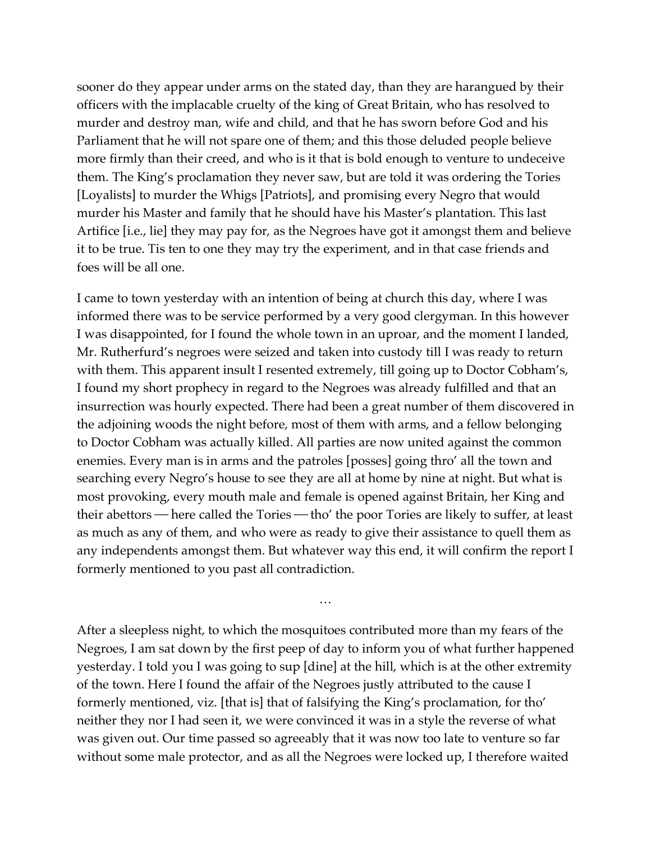sooner do they appear under arms on the stated day, than they are harangued by their officers with the implacable cruelty of the king of Great Britain, who has resolved to murder and destroy man, wife and child, and that he has sworn before God and his Parliament that he will not spare one of them; and this those deluded people believe more firmly than their creed, and who is it that is bold enough to venture to undeceive them. The King's proclamation they never saw, but are told it was ordering the Tories [Loyalists] to murder the Whigs [Patriots], and promising every Negro that would murder his Master and family that he should have his Master's plantation. This last Artifice [i.e., lie] they may pay for, as the Negroes have got it amongst them and believe it to be true. Tis ten to one they may try the experiment, and in that case friends and foes will be all one.

I came to town yesterday with an intention of being at church this day, where I was informed there was to be service performed by a very good clergyman. In this however I was disappointed, for I found the whole town in an uproar, and the moment I landed, Mr. Rutherfurd's negroes were seized and taken into custody till I was ready to return with them. This apparent insult I resented extremely, till going up to Doctor Cobham's, I found my short prophecy in regard to the Negroes was already fulfilled and that an insurrection was hourly expected. There had been a great number of them discovered in the adjoining woods the night before, most of them with arms, and a fellow belonging to Doctor Cobham was actually killed. All parties are now united against the common enemies. Every man is in arms and the patroles [posses] going thro' all the town and searching every Negro's house to see they are all at home by nine at night. But what is most provoking, every mouth male and female is opened against Britain, her King and their abettors - here called the Tories - tho' the poor Tories are likely to suffer, at least as much as any of them, and who were as ready to give their assistance to quell them as any independents amongst them. But whatever way this end, it will confirm the report I formerly mentioned to you past all contradiction.

After a sleepless night, to which the mosquitoes contributed more than my fears of the Negroes, I am sat down by the first peep of day to inform you of what further happened yesterday. I told you I was going to sup [dine] at the hill, which is at the other extremity of the town. Here I found the affair of the Negroes justly attributed to the cause I formerly mentioned, viz. [that is] that of falsifying the King's proclamation, for tho' neither they nor I had seen it, we were convinced it was in a style the reverse of what was given out. Our time passed so agreeably that it was now too late to venture so far without some male protector, and as all the Negroes were locked up, I therefore waited

…